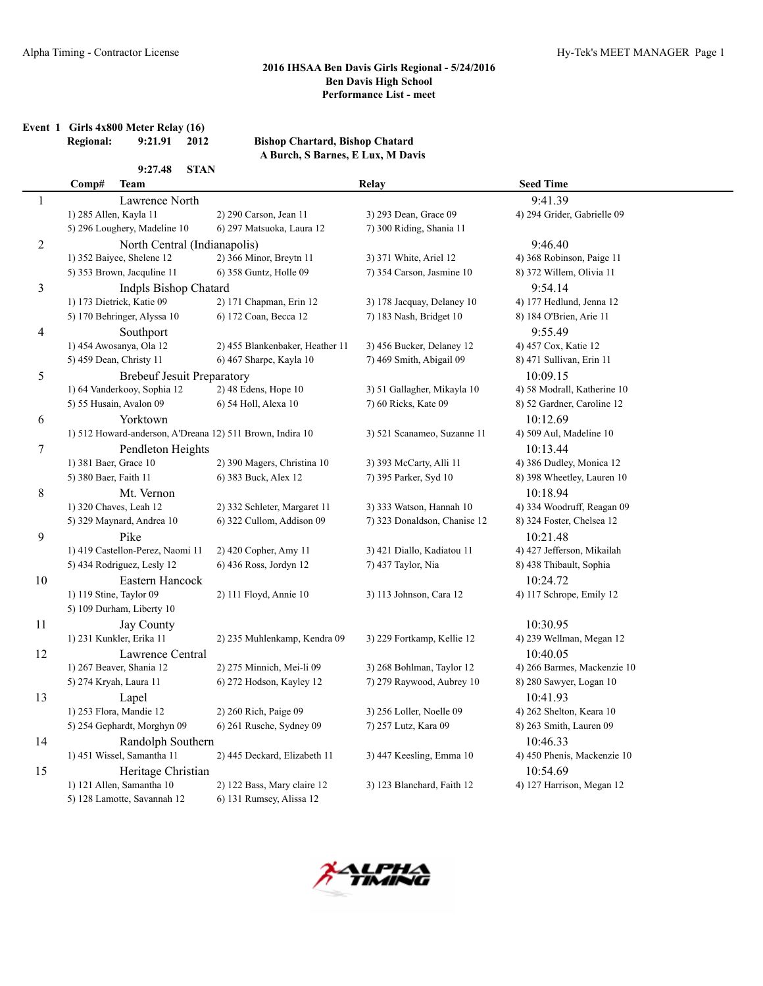|  | Event 1 Girls 4x800 Meter Relay (16) |         |      |
|--|--------------------------------------|---------|------|
|  | Dogional:                            | 0.21 01 | 2012 |

**Regional: 9:21.91 2012 Bishop Chartard, Bishop Chatard A Burch, S Barnes, E Lux, M Davis**

|                | 9:27.48<br><b>STAN</b>                                    |                                 |                              |                             |
|----------------|-----------------------------------------------------------|---------------------------------|------------------------------|-----------------------------|
|                | Comp#<br><b>Team</b>                                      |                                 | <b>Relay</b>                 | <b>Seed Time</b>            |
| $\mathbf{1}$   | Lawrence North                                            |                                 |                              | 9:41.39                     |
|                | 1) 285 Allen, Kayla 11                                    | 2) 290 Carson, Jean 11          | 3) 293 Dean, Grace 09        | 4) 294 Grider, Gabrielle 09 |
|                | 5) 296 Loughery, Madeline 10                              | 6) 297 Matsuoka, Laura 12       | 7) 300 Riding, Shania 11     |                             |
| $\overline{c}$ | North Central (Indianapolis)                              |                                 |                              | 9:46.40                     |
|                | 1) 352 Baiyee, Shelene 12                                 | 2) 366 Minor, Breytn 11         | 3) 371 White, Ariel 12       | 4) 368 Robinson, Paige 11   |
|                | 5) 353 Brown, Jacquline 11                                | 6) 358 Guntz, Holle 09          | 7) 354 Carson, Jasmine 10    | 8) 372 Willem, Olivia 11    |
| 3              | <b>Indpls Bishop Chatard</b>                              |                                 |                              | 9:54.14                     |
|                | 1) 173 Dietrick, Katie 09                                 | 2) 171 Chapman, Erin 12         | 3) 178 Jacquay, Delaney 10   | 4) 177 Hedlund, Jenna 12    |
|                | 5) 170 Behringer, Alyssa 10                               | 6) 172 Coan, Becca 12           | 7) 183 Nash, Bridget 10      | 8) 184 O'Brien, Arie 11     |
| $\overline{4}$ | Southport                                                 |                                 |                              | 9:55.49                     |
|                | 1) 454 Awosanya, Ola 12                                   | 2) 455 Blankenbaker, Heather 11 | 3) 456 Bucker, Delaney 12    | 4) 457 Cox, Katie 12        |
|                | 5) 459 Dean, Christy 11                                   | 6) 467 Sharpe, Kayla 10         | 7) 469 Smith, Abigail 09     | 8) 471 Sullivan, Erin 11    |
| 5              | <b>Brebeuf Jesuit Preparatory</b>                         |                                 |                              | 10:09.15                    |
|                | 1) 64 Vanderkooy, Sophia 12                               | 2) 48 Edens, Hope 10            | 3) 51 Gallagher, Mikayla 10  | 4) 58 Modrall, Katherine 10 |
|                | 5) 55 Husain, Avalon 09                                   | 6) 54 Holl, Alexa 10            | 7) 60 Ricks, Kate 09         | 8) 52 Gardner, Caroline 12  |
| 6              | Yorktown                                                  |                                 |                              | 10:12.69                    |
|                | 1) 512 Howard-anderson, A'Dreana 12) 511 Brown, Indira 10 |                                 | 3) 521 Scanameo, Suzanne 11  | 4) 509 Aul, Madeline 10     |
| 7              | Pendleton Heights                                         |                                 |                              | 10:13.44                    |
|                | 1) 381 Baer, Grace 10                                     | 2) 390 Magers, Christina 10     | 3) 393 McCarty, Alli 11      | 4) 386 Dudley, Monica 12    |
|                | 5) 380 Baer, Faith 11                                     | 6) 383 Buck, Alex 12            | 7) 395 Parker, Syd 10        | 8) 398 Wheetley, Lauren 10  |
| 8              | Mt. Vernon                                                |                                 |                              | 10:18.94                    |
|                | 1) 320 Chaves, Leah 12                                    | 2) 332 Schleter, Margaret 11    | 3) 333 Watson, Hannah 10     | 4) 334 Woodruff, Reagan 09  |
|                | 5) 329 Maynard, Andrea 10                                 | 6) 322 Cullom, Addison 09       | 7) 323 Donaldson, Chanise 12 | 8) 324 Foster, Chelsea 12   |
| 9              | Pike                                                      |                                 |                              | 10:21.48                    |
|                | 1) 419 Castellon-Perez, Naomi 11                          | 2) 420 Copher, Amy 11           | 3) 421 Diallo, Kadiatou 11   | 4) 427 Jefferson, Mikailah  |
|                | 5) 434 Rodriguez, Lesly 12                                | 6) 436 Ross, Jordyn 12          | 7) 437 Taylor, Nia           | 8) 438 Thibault, Sophia     |
| 10             | Eastern Hancock                                           |                                 |                              | 10:24.72                    |
|                | 1) 119 Stine, Taylor 09                                   | 2) 111 Floyd, Annie 10          | 3) 113 Johnson, Cara 12      | 4) 117 Schrope, Emily 12    |
|                | 5) 109 Durham, Liberty 10                                 |                                 |                              |                             |
| 11             | Jay County                                                |                                 |                              | 10:30.95                    |
|                | 1) 231 Kunkler, Erika 11                                  | 2) 235 Muhlenkamp, Kendra 09    | 3) 229 Fortkamp, Kellie 12   | 4) 239 Wellman, Megan 12    |
| 12             | Lawrence Central                                          |                                 |                              | 10:40.05                    |
|                | 1) 267 Beaver, Shania 12                                  | 2) 275 Minnich, Mei-li 09       | 3) 268 Bohlman, Taylor 12    | 4) 266 Barmes, Mackenzie 10 |
|                | 5) 274 Kryah, Laura 11                                    | 6) 272 Hodson, Kayley 12        | 7) 279 Raywood, Aubrey 10    | 8) 280 Sawyer, Logan 10     |
| 13             | Lapel                                                     |                                 |                              | 10:41.93                    |
|                | 1) 253 Flora, Mandie 12                                   | 2) 260 Rich, Paige 09           | 3) 256 Loller, Noelle 09     | 4) 262 Shelton, Keara 10    |
|                | 5) 254 Gephardt, Morghyn 09                               | 6) 261 Rusche, Sydney 09        | 7) 257 Lutz, Kara 09         | 8) 263 Smith, Lauren 09     |
| 14             | Randolph Southern                                         |                                 |                              | 10:46.33                    |
|                | 1) 451 Wissel, Samantha 11                                | 2) 445 Deckard, Elizabeth 11    | 3) 447 Keesling, Emma 10     | 4) 450 Phenis, Mackenzie 10 |
| 15             | Heritage Christian                                        |                                 |                              | 10:54.69                    |
|                | 1) 121 Allen, Samantha 10                                 | 2) 122 Bass, Mary claire 12     | 3) 123 Blanchard, Faith 12   | 4) 127 Harrison, Megan 12   |
|                | 5) 128 Lamotte, Savannah 12                               | 6) 131 Rumsey, Alissa 12        |                              |                             |
|                |                                                           |                                 |                              |                             |

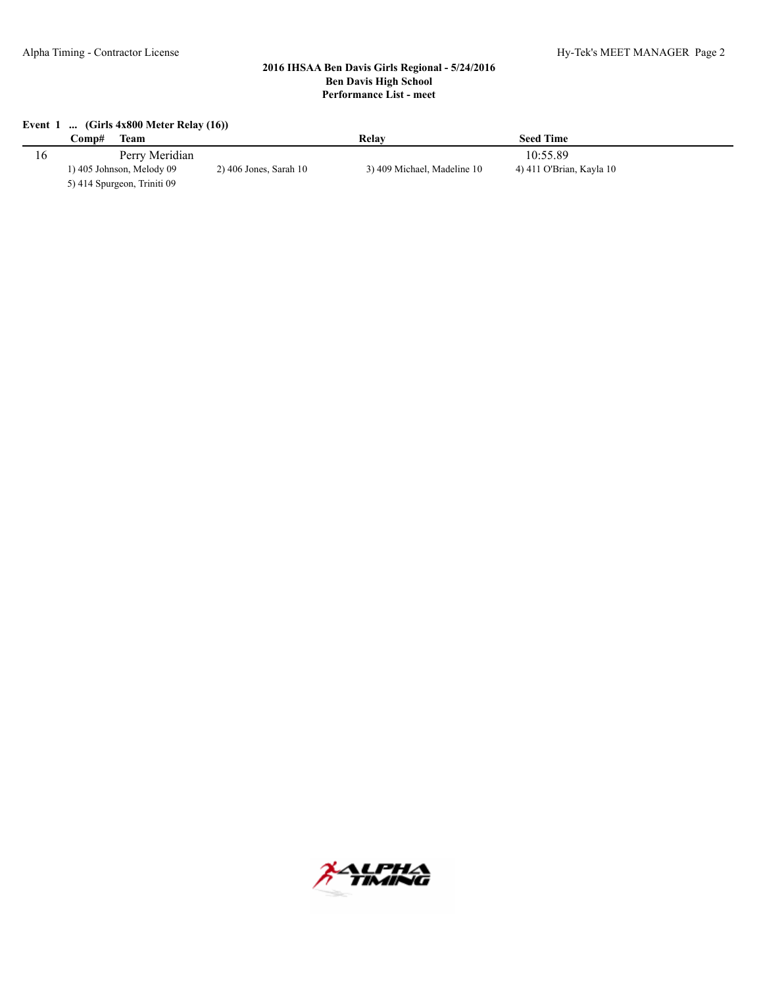#### **Event 1 ... (Girls 4x800 Meter Relay (16))**

| C <b>omp#</b><br>Team       |                          | Relav                       | <b>Seed Time</b>         |
|-----------------------------|--------------------------|-----------------------------|--------------------------|
| Perry Meridian              |                          |                             | 10:55.89                 |
| 1) 405 Johnson, Melody 09   | $2)$ 406 Jones, Sarah 10 | 3) 409 Michael, Madeline 10 | 4) 411 O'Brian, Kayla 10 |
| 5) 414 Spurgeon, Triniti 09 |                          |                             |                          |

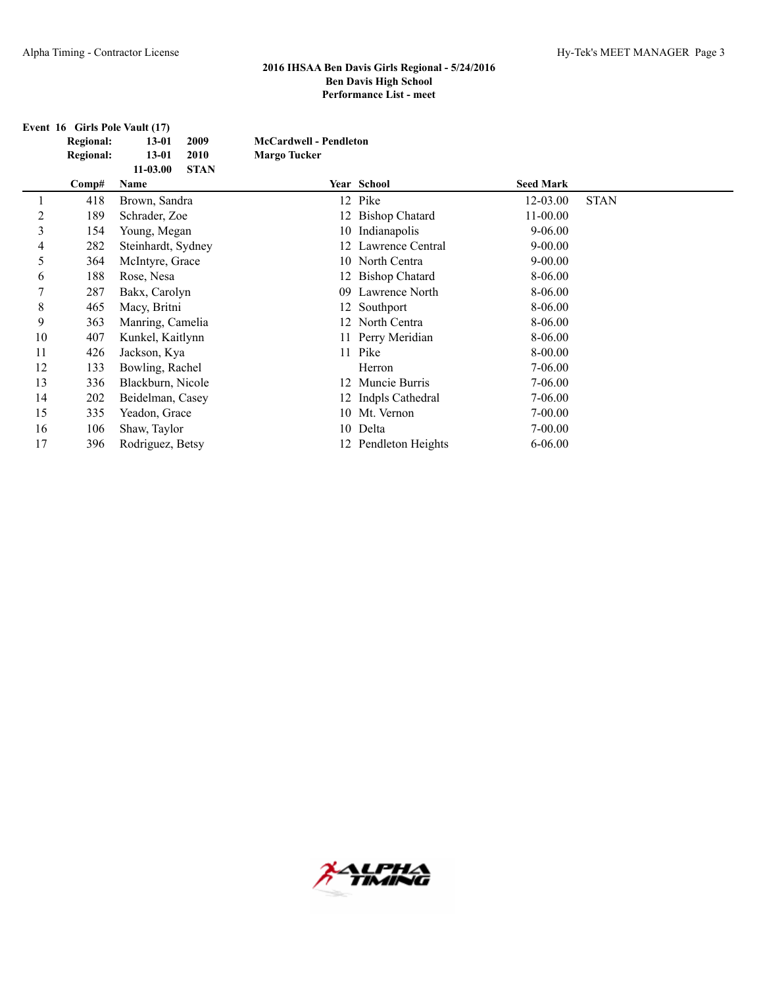|    | Event 16 Girls Pole Vault (17) |                             |                               |                       |                  |             |
|----|--------------------------------|-----------------------------|-------------------------------|-----------------------|------------------|-------------|
|    | <b>Regional:</b>               | 2009<br>$13 - 01$           | <b>McCardwell - Pendleton</b> |                       |                  |             |
|    | <b>Regional:</b>               | $13 - 01$<br>2010           | <b>Margo Tucker</b>           |                       |                  |             |
|    |                                | <b>STAN</b><br>$11 - 03.00$ |                               |                       |                  |             |
|    | Comp#                          | Name                        |                               | Year School           | <b>Seed Mark</b> |             |
|    | 418                            | Brown, Sandra               |                               | 12 Pike               | 12-03.00         | <b>STAN</b> |
| 2  | 189                            | Schrader, Zoe               |                               | 12 Bishop Chatard     | $11 - 00.00$     |             |
| 3  | 154                            | Young, Megan                | 10                            | Indianapolis          | $9 - 06.00$      |             |
| 4  | 282                            | Steinhardt, Sydney          |                               | Lawrence Central      | $9 - 00.00$      |             |
| 5  | 364                            | McIntyre, Grace             |                               | 10 North Centra       | $9 - 00.00$      |             |
| 6  | 188                            | Rose, Nesa                  | 12                            | <b>Bishop Chatard</b> | 8-06.00          |             |
|    | 287                            | Bakx, Carolyn               | 09.                           | Lawrence North        | 8-06.00          |             |
| 8  | 465                            | Macy, Britni                |                               | 12 Southport          | 8-06.00          |             |
| 9  | 363                            | Manring, Camelia            | 12                            | North Centra          | 8-06.00          |             |
| 10 | 407                            | Kunkel, Kaitlynn            |                               | 11 Perry Meridian     | 8-06.00          |             |
| 11 | 426                            | Jackson, Kya                |                               | 11 Pike               | 8-00.00          |             |
| 12 | 133                            | Bowling, Rachel             |                               | Herron                | 7-06.00          |             |
| 13 | 336                            | Blackburn, Nicole           |                               | 12 Muncie Burris      | 7-06.00          |             |
| 14 | 202                            | Beidelman, Casey            | 12                            | Indpls Cathedral      | $7 - 06.00$      |             |
| 15 | 335                            | Yeadon, Grace               |                               | 10 Mt. Vernon         | $7 - 00.00$      |             |
| 16 | 106                            | Shaw, Taylor                |                               | 10 Delta              | 7-00.00          |             |
| 17 | 396                            | Rodriguez, Betsy            |                               | 12 Pendleton Heights  | $6 - 06.00$      |             |

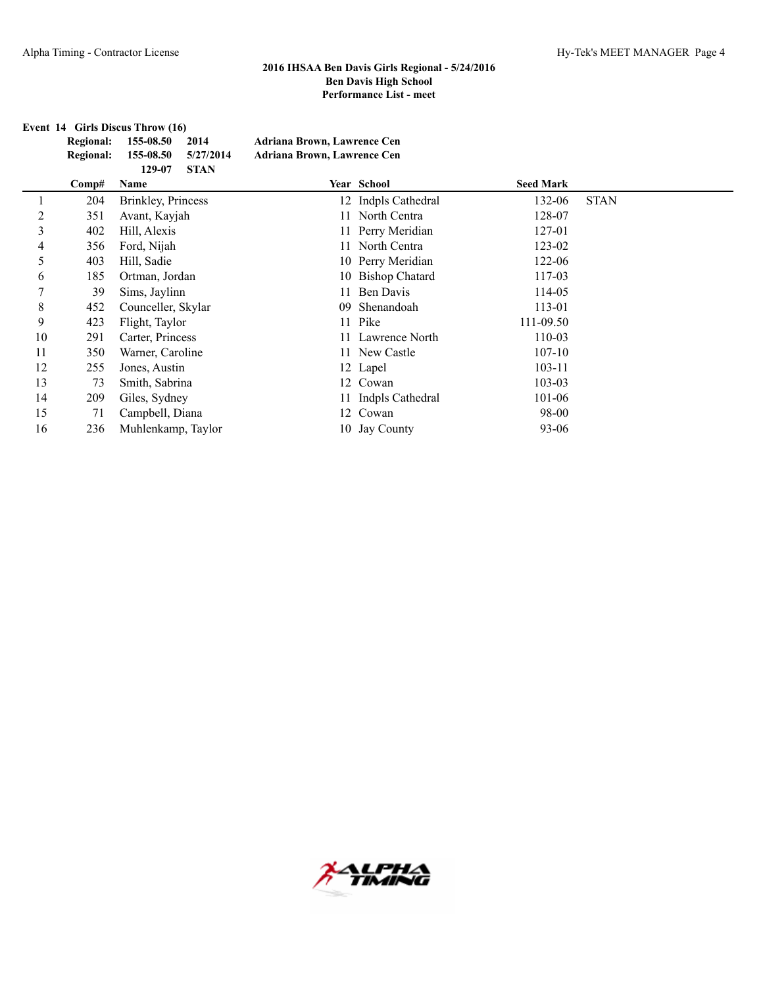**Event 14 Girls Discus Throw (16)**

| Regional: 155-08.50 2014      | Adriana Brown, Lawrence Cen        |
|-------------------------------|------------------------------------|
| Regional: 155-08.50 5/27/2014 | <b>Adriana Brown, Lawrence Cen</b> |
| 129-07 STAN                   |                                    |

| Comp# | Name                       |  | <b>Seed Mark</b>                                                                                                                                                                                                                                                                                      |             |
|-------|----------------------------|--|-------------------------------------------------------------------------------------------------------------------------------------------------------------------------------------------------------------------------------------------------------------------------------------------------------|-------------|
| 204   | <b>Brinkley</b> , Princess |  | 132-06                                                                                                                                                                                                                                                                                                | <b>STAN</b> |
| 351   | Avant, Kayjah              |  | 128-07                                                                                                                                                                                                                                                                                                |             |
| 402   | Hill, Alexis               |  | 127-01                                                                                                                                                                                                                                                                                                |             |
| 356   | Ford, Nijah                |  | 123-02                                                                                                                                                                                                                                                                                                |             |
| 403   | Hill, Sadie                |  | 122-06                                                                                                                                                                                                                                                                                                |             |
| 185   | Ortman, Jordan             |  | 117-03                                                                                                                                                                                                                                                                                                |             |
| 39    | Sims, Jaylinn              |  | 114-05                                                                                                                                                                                                                                                                                                |             |
| 452   | Counceller, Skylar         |  | 113-01                                                                                                                                                                                                                                                                                                |             |
| 423   | Flight, Taylor             |  | 111-09.50                                                                                                                                                                                                                                                                                             |             |
| 291   | Carter, Princess           |  | 110-03                                                                                                                                                                                                                                                                                                |             |
| 350   | Warner, Caroline           |  | $107 - 10$                                                                                                                                                                                                                                                                                            |             |
| 255   | Jones, Austin              |  | 103-11                                                                                                                                                                                                                                                                                                |             |
| 73    | Smith, Sabrina             |  | 103-03                                                                                                                                                                                                                                                                                                |             |
| 209   | Giles, Sydney              |  | 101-06                                                                                                                                                                                                                                                                                                |             |
| 71    | Campbell, Diana            |  | 98-00                                                                                                                                                                                                                                                                                                 |             |
| 236   | Muhlenkamp, Taylor         |  | $93 - 06$                                                                                                                                                                                                                                                                                             |             |
|       |                            |  | Year School<br>12 Indpls Cathedral<br>11 North Centra<br>11 Perry Meridian<br>11 North Centra<br>10 Perry Meridian<br>10 Bishop Chatard<br>11 Ben Davis<br>09 Shenandoah<br>11 Pike<br>11 Lawrence North<br>11 New Castle<br>12 Lapel<br>12 Cowan<br>11 Indpls Cathedral<br>12 Cowan<br>10 Jay County |             |

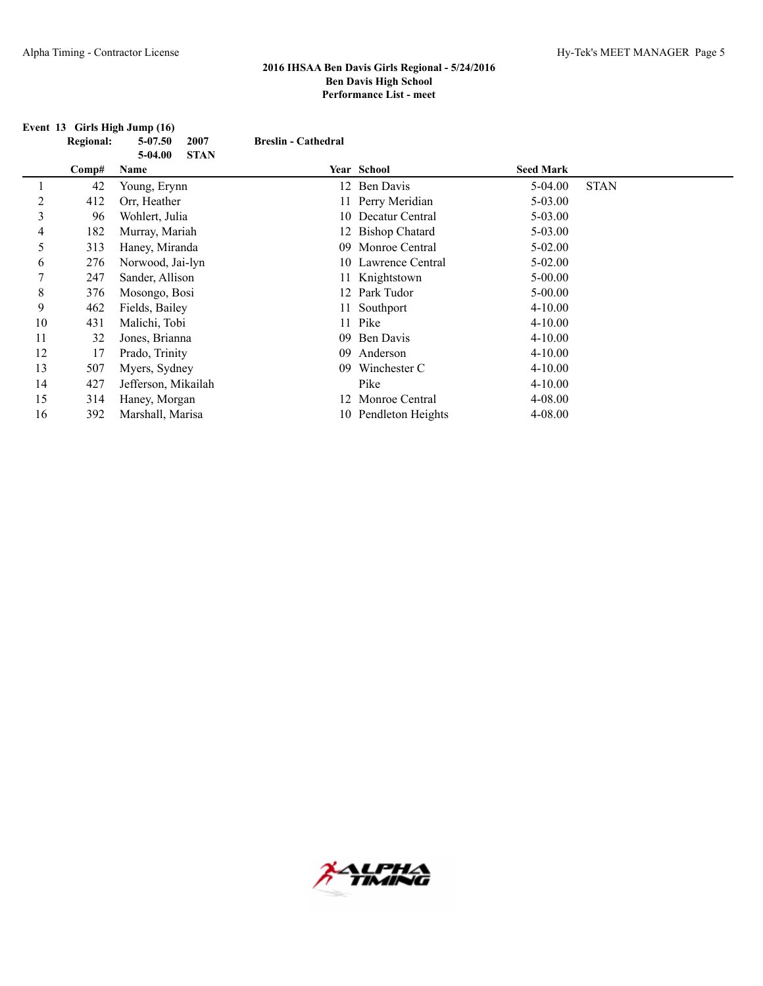|    | Event 13 Girls High Jump (16) |                          |                            |                      |                  |             |  |  |  |
|----|-------------------------------|--------------------------|----------------------------|----------------------|------------------|-------------|--|--|--|
|    | <b>Regional:</b>              | 5-07.50<br>2007          | <b>Breslin - Cathedral</b> |                      |                  |             |  |  |  |
|    |                               | <b>STAN</b><br>$5-04.00$ |                            |                      |                  |             |  |  |  |
|    | Comp#                         | Name                     |                            | Year School          | <b>Seed Mark</b> |             |  |  |  |
|    | 42                            | Young, Erynn             |                            | 12 Ben Davis         | $5-04.00$        | <b>STAN</b> |  |  |  |
| 2  | 412                           | Orr, Heather             |                            | 11 Perry Meridian    | $5 - 03.00$      |             |  |  |  |
| 3  | 96                            | Wohlert, Julia           |                            | 10 Decatur Central   | $5 - 03.00$      |             |  |  |  |
| 4  | 182                           | Murray, Mariah           |                            | 12 Bishop Chatard    | $5 - 03.00$      |             |  |  |  |
| 5  | 313                           | Haney, Miranda           | 09                         | Monroe Central       | $5 - 02.00$      |             |  |  |  |
| 6  | 276                           | Norwood, Jai-lyn         |                            | 10 Lawrence Central  | $5 - 02.00$      |             |  |  |  |
| ┑  | 247                           | Sander, Allison          |                            | 11 Knightstown       | $5 - 00.00$      |             |  |  |  |
| 8  | 376                           | Mosongo, Bosi            |                            | 12 Park Tudor        | $5 - 00.00$      |             |  |  |  |
| 9  | 462                           | Fields, Bailey           |                            | 11 Southport         | $4 - 10.00$      |             |  |  |  |
| 10 | 431                           | Malichi, Tobi            |                            | 11 Pike              | $4 - 10.00$      |             |  |  |  |
| 11 | 32                            | Jones, Brianna           | 09                         | Ben Davis            | $4 - 10.00$      |             |  |  |  |
| 12 | 17                            | Prado, Trinity           | 09                         | Anderson             | $4 - 10.00$      |             |  |  |  |
| 13 | 507                           | Myers, Sydney            | 09                         | Winchester C         | $4 - 10.00$      |             |  |  |  |
| 14 | 427                           | Jefferson, Mikailah      |                            | Pike                 | $4 - 10.00$      |             |  |  |  |
| 15 | 314                           | Haney, Morgan            |                            | 12 Monroe Central    | 4-08.00          |             |  |  |  |
| 16 | 392                           | Marshall, Marisa         |                            | 10 Pendleton Heights | 4-08.00          |             |  |  |  |

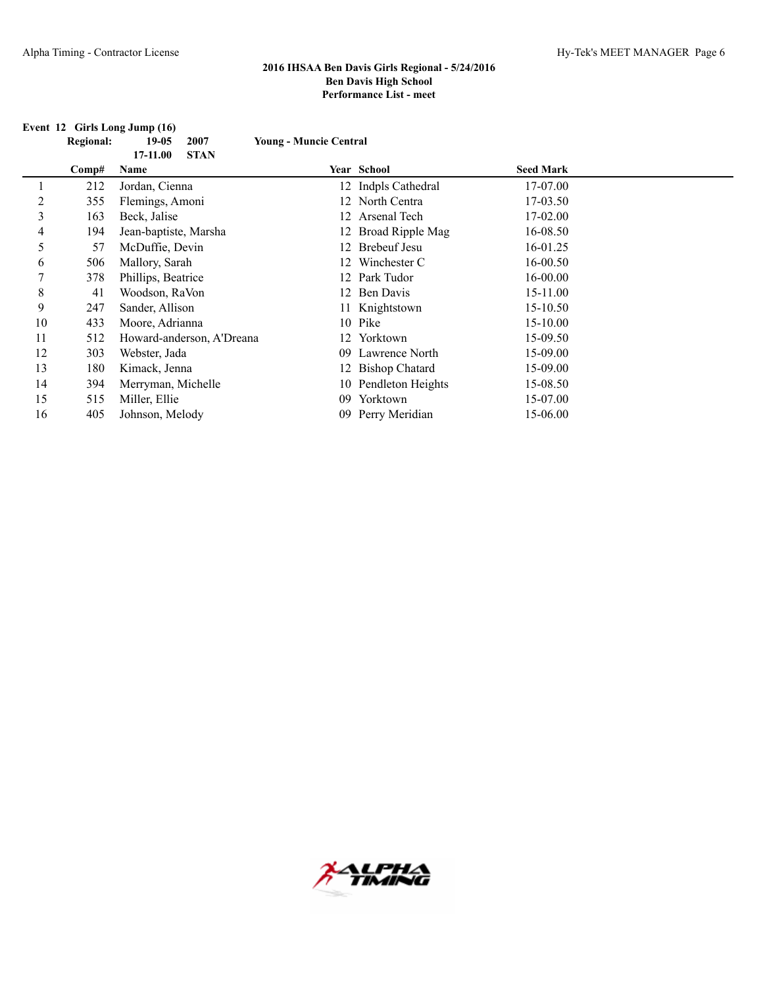#### **Event 12 Girls Long Jump (16)**

| <b>Regional:</b> | 19-05 2007 |  | <b>Young - Muncie Central</b> |
|------------------|------------|--|-------------------------------|
|------------------|------------|--|-------------------------------|

|    |       | <b>STAN</b><br>17-11.00   |     |                      |                  |  |
|----|-------|---------------------------|-----|----------------------|------------------|--|
|    | Comp# | Name                      |     | <b>Year School</b>   | <b>Seed Mark</b> |  |
|    | 212   | Jordan, Cienna            |     | 12 Indpls Cathedral  | 17-07.00         |  |
| 2  | 355   | Flemings, Amoni           |     | 12 North Centra      | 17-03.50         |  |
| 3  | 163   | Beck, Jalise              |     | 12 Arsenal Tech      | 17-02.00         |  |
| 4  | 194   | Jean-baptiste, Marsha     |     | 12 Broad Ripple Mag  | 16-08.50         |  |
| 5  | 57    | McDuffie, Devin           |     | 12 Brebeuf Jesu      | 16-01.25         |  |
| 6  | 506   | Mallory, Sarah            |     | 12 Winchester C      | 16-00.50         |  |
| 7  | 378   | Phillips, Beatrice        |     | 12 Park Tudor        | 16-00.00         |  |
| 8  | 41    | Woodson, RaVon            |     | 12 Ben Davis         | 15-11.00         |  |
| 9  | 247   | Sander, Allison           |     | 11 Knightstown       | 15-10.50         |  |
| 10 | 433   | Moore, Adrianna           |     | 10 Pike              | 15-10.00         |  |
| 11 | 512   | Howard-anderson, A'Dreana |     | 12 Yorktown          | 15-09.50         |  |
| 12 | 303   | Webster, Jada             | 09. | Lawrence North       | 15-09.00         |  |
| 13 | 180   | Kimack, Jenna             |     | 12 Bishop Chatard    | 15-09.00         |  |
| 14 | 394   | Merryman, Michelle        |     | 10 Pendleton Heights | 15-08.50         |  |
| 15 | 515   | Miller, Ellie             | 09  | Yorktown             | 15-07.00         |  |
| 16 | 405   | Johnson, Melody           |     | 09 Perry Meridian    | 15-06.00         |  |

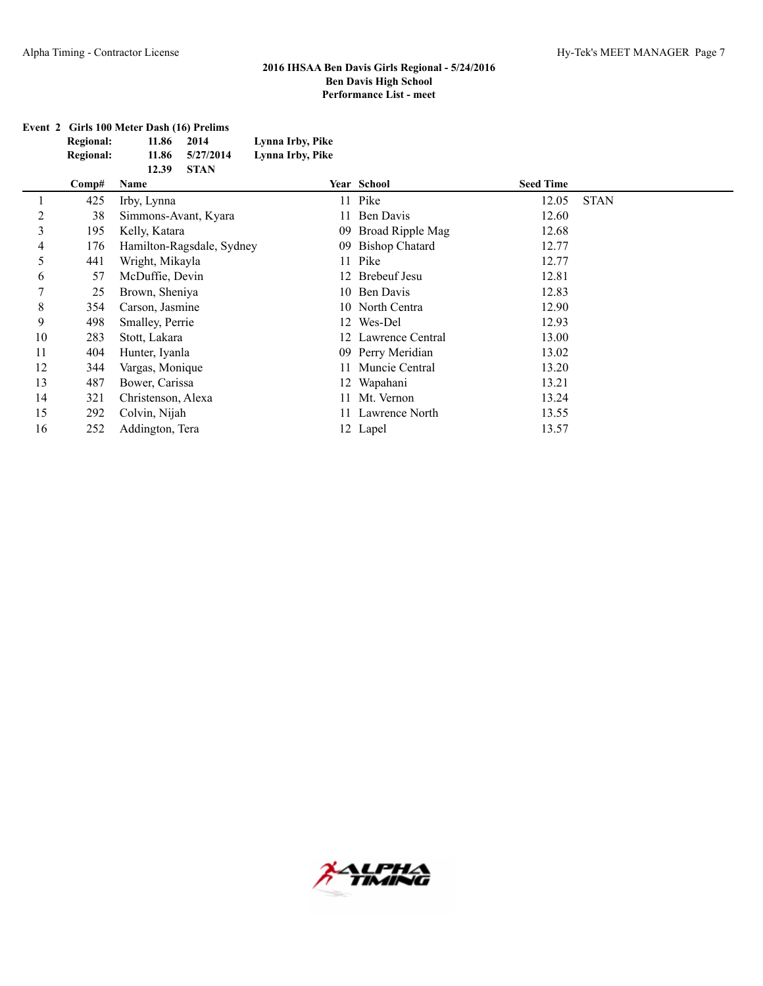| Event 2 Girls 100 Meter Dash (16) Prelims |       |             |                  |  |  |  |
|-------------------------------------------|-------|-------------|------------------|--|--|--|
| <b>Regional:</b>                          | 11.86 | 2014        | Lynna Irby, Pike |  |  |  |
| <b>Regional:</b>                          | 11.86 | 5/27/2014   | Lynna Irby, Pike |  |  |  |
|                                           | 12.39 | <b>STAN</b> |                  |  |  |  |

|    | Comp# | Name                      |    | Year School         | <b>Seed Time</b> |             |
|----|-------|---------------------------|----|---------------------|------------------|-------------|
|    | 425   | Irby, Lynna               |    | 11 Pike             | 12.05            | <b>STAN</b> |
| 2  | 38    | Simmons-Avant, Kyara      | 11 | Ben Davis           | 12.60            |             |
| 3  | 195   | Kelly, Katara             |    | 09 Broad Ripple Mag | 12.68            |             |
| 4  | 176   | Hamilton-Ragsdale, Sydney |    | 09 Bishop Chatard   | 12.77            |             |
| 5  | 441   | Wright, Mikayla           |    | 11 Pike             | 12.77            |             |
| 6  | 57    | McDuffie, Devin           |    | 12 Brebeuf Jesu     | 12.81            |             |
|    | 25    | Brown, Sheniya            |    | 10 Ben Davis        | 12.83            |             |
| 8  | 354   | Carson, Jasmine           |    | 10 North Centra     | 12.90            |             |
| 9  | 498   | Smalley, Perrie           |    | 12 Wes-Del          | 12.93            |             |
| 10 | 283   | Stott, Lakara             |    | 12 Lawrence Central | 13.00            |             |
| 11 | 404   | Hunter, Iyanla            |    | 09 Perry Meridian   | 13.02            |             |
| 12 | 344   | Vargas, Monique           |    | Muncie Central      | 13.20            |             |
| 13 | 487   | Bower, Carissa            |    | 12 Wapahani         | 13.21            |             |
| 14 | 321   | Christenson, Alexa        |    | 11 Mt. Vernon       | 13.24            |             |
| 15 | 292   | Colvin, Nijah             |    | 11 Lawrence North   | 13.55            |             |
| 16 | 252   | Addington, Tera           |    | 12 Lapel            | 13.57            |             |
|    |       |                           |    |                     |                  |             |

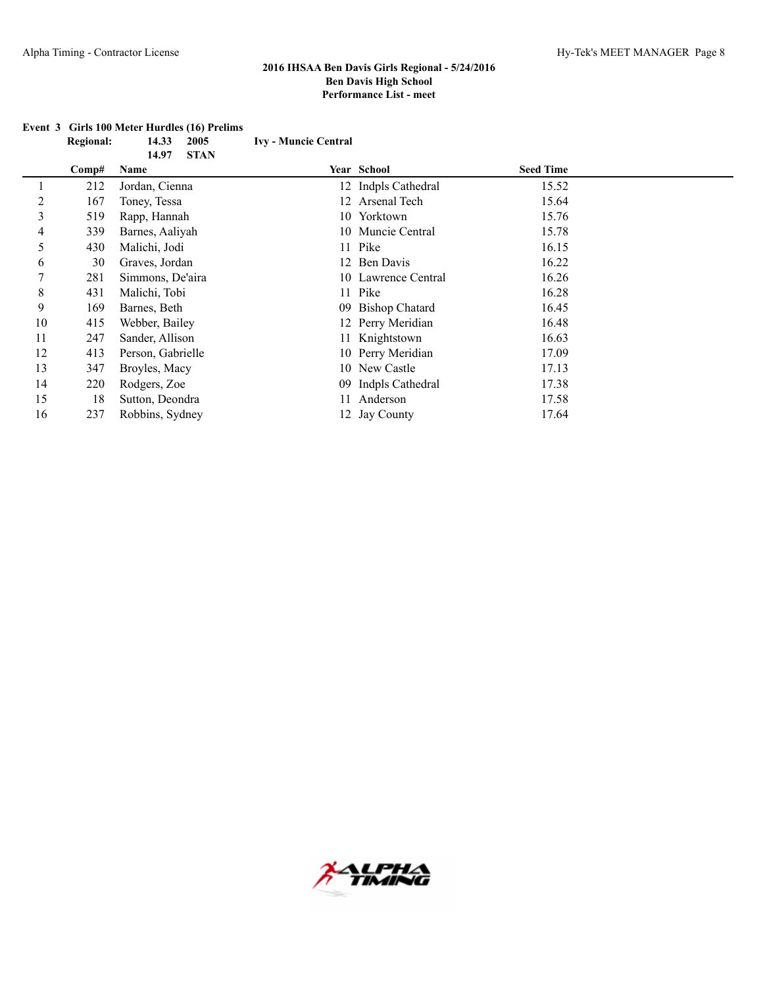|    |       | <b>STAN</b><br>14.97 |                     |                  |  |
|----|-------|----------------------|---------------------|------------------|--|
|    | Comp# | Name                 | Year School         | <b>Seed Time</b> |  |
|    | 212   | Jordan, Cienna       | 12 Indpls Cathedral | 15.52            |  |
| 2  | 167   | Toney, Tessa         | 12 Arsenal Tech     | 15.64            |  |
| 3  | 519   | Rapp, Hannah         | 10 Yorktown         | 15.76            |  |
| 4  | 339   | Barnes, Aaliyah      | 10 Muncie Central   | 15.78            |  |
| 5  | 430   | Malichi, Jodi        | 11 Pike             | 16.15            |  |
| 6  | 30    | Graves, Jordan       | 12 Ben Davis        | 16.22            |  |
| 7  | 281   | Simmons, De'aira     | 10 Lawrence Central | 16.26            |  |
| 8  | 431   | Malichi, Tobi        | 11 Pike             | 16.28            |  |
| 9  | 169   | Barnes, Beth         | 09 Bishop Chatard   | 16.45            |  |
| 10 | 415   | Webber, Bailey       | 12 Perry Meridian   | 16.48            |  |
| 11 | 247   | Sander, Allison      | 11 Knightstown      | 16.63            |  |
| 12 | 413   | Person, Gabrielle    | 10 Perry Meridian   | 17.09            |  |
| 13 | 347   | Broyles, Macy        | 10 New Castle       | 17.13            |  |
| 14 | 220   | Rodgers, Zoe         | 09 Indpls Cathedral | 17.38            |  |
| 15 | 18    | Sutton, Deondra      | Anderson            | 17.58            |  |
| 16 | 237   | Robbins, Sydney      | 12 Jay County       | 17.64            |  |

#### **Event 3 Girls 100 Meter Hurdles (16) Prelims Regional: 14.33 2005 Ivy - Muncie Central**

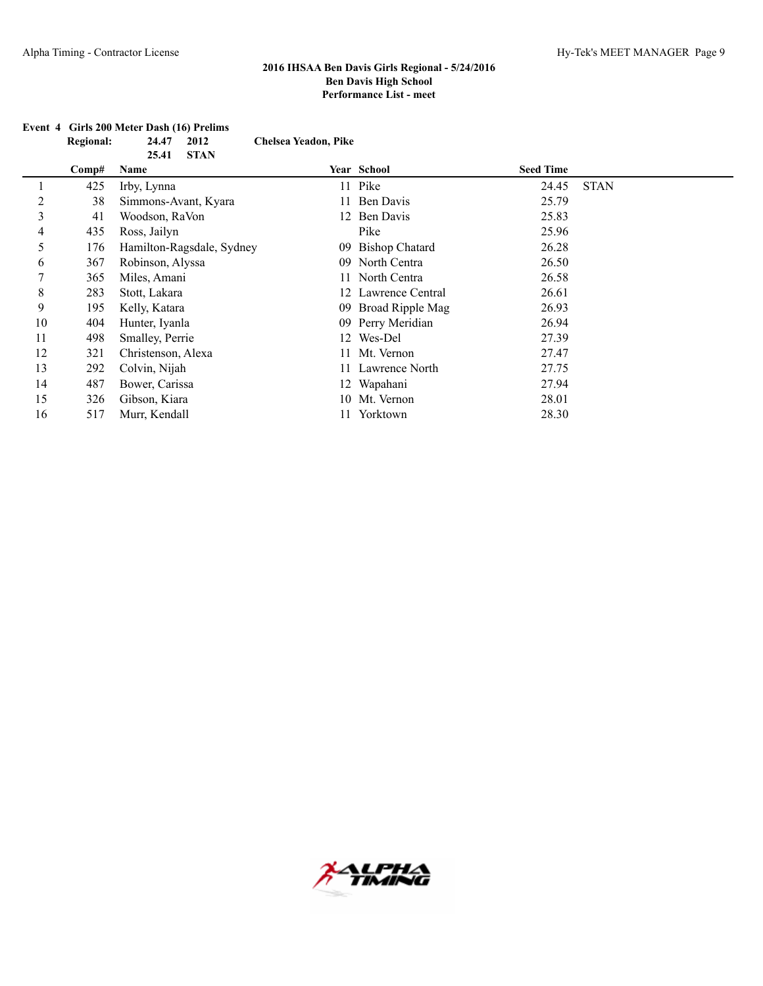|             | <b>Regional:</b> | 24.47<br>2012             | <b>Chelsea Yeadon, Pike</b> |                       |                  |             |
|-------------|------------------|---------------------------|-----------------------------|-----------------------|------------------|-------------|
|             |                  | <b>STAN</b><br>25.41      |                             |                       |                  |             |
|             | Comp#            | Name                      |                             | Year School           | <b>Seed Time</b> |             |
|             | 425              | Irby, Lynna               |                             | 11 Pike               | 24.45            | <b>STAN</b> |
| 2           | 38               | Simmons-Avant, Kyara      |                             | Ben Davis             | 25.79            |             |
| 3           | 41               | Woodson, RaVon            | 12.                         | Ben Davis             | 25.83            |             |
| 4           | 435              | Ross, Jailyn              |                             | Pike                  | 25.96            |             |
| 5           | 176              | Hamilton-Ragsdale, Sydney | 09                          | <b>Bishop Chatard</b> | 26.28            |             |
| 6           | 367              | Robinson, Alyssa          | 09                          | North Centra          | 26.50            |             |
| 7           | 365              | Miles, Amani              |                             | North Centra          | 26.58            |             |
| $\,$ 8 $\,$ | 283              | Stott, Lakara             | 12.                         | Lawrence Central      | 26.61            |             |
| 9           | 195              | Kelly, Katara             | 09                          | Broad Ripple Mag      | 26.93            |             |
| 10          | 404              | Hunter, Iyanla            |                             | 09 Perry Meridian     | 26.94            |             |
| 11          | 498              | Smalley, Perrie           | 12.                         | Wes-Del               | 27.39            |             |
| 12          | 321              | Christenson, Alexa        |                             | Mt. Vernon            | 27.47            |             |
| 13          | 292              | Colvin, Nijah             |                             | Lawrence North        | 27.75            |             |
| 14          | 487              | Bower, Carissa            |                             | 12 Wapahani           | 27.94            |             |
| 15          | 326              | Gibson, Kiara             | 10-                         | Mt. Vernon            | 28.01            |             |
| 16          | 517              | Murr, Kendall             |                             | Yorktown              | 28.30            |             |

# **Event 4 Girls 200 Meter Dash (16) Prelims**

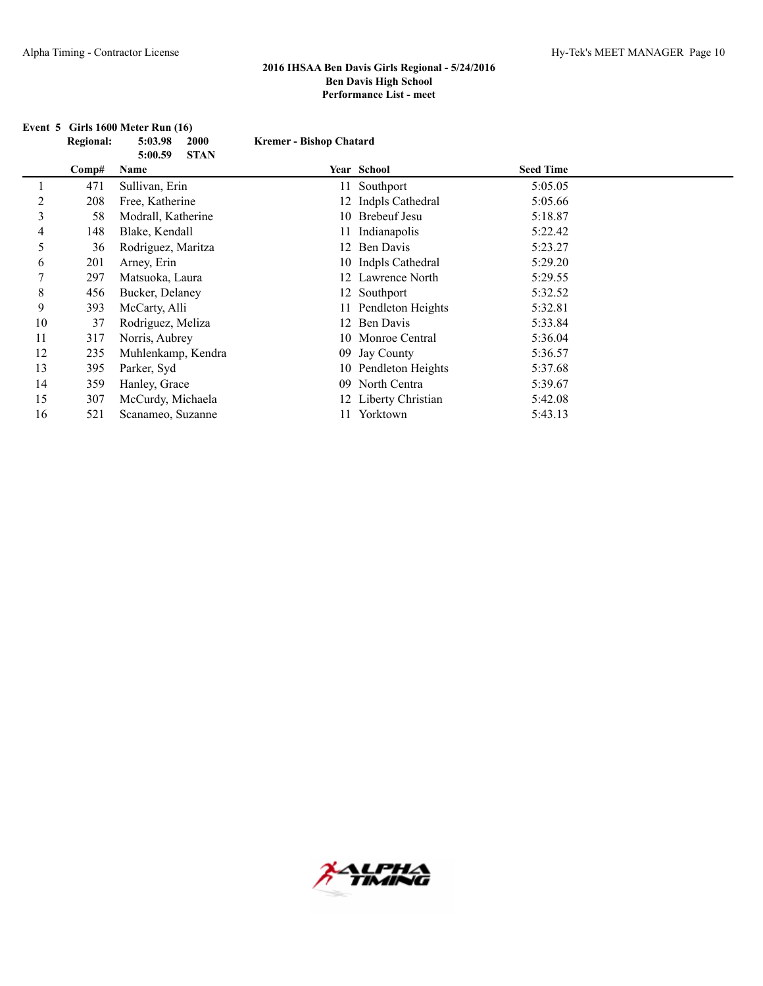|             | <b>Regional:</b> | 5:03.98<br><b>2000</b>         | <b>Kremer - Bishop Chatard</b> |                      |                  |  |
|-------------|------------------|--------------------------------|--------------------------------|----------------------|------------------|--|
|             | Comp#            | <b>STAN</b><br>5:00.59<br>Name |                                | Year School          | <b>Seed Time</b> |  |
|             |                  |                                |                                |                      |                  |  |
|             | 471              | Sullivan, Erin                 |                                | 11 Southport         | 5:05.05          |  |
| 2           | 208              | Free, Katherine                |                                | 12 Indpls Cathedral  | 5:05.66          |  |
| 3           | 58               | Modrall, Katherine             |                                | 10 Brebeuf Jesu      | 5:18.87          |  |
| 4           | 148              | Blake, Kendall                 |                                | 11 Indianapolis      | 5:22.42          |  |
| 5           | 36               | Rodriguez, Maritza             |                                | 12 Ben Davis         | 5:23.27          |  |
| 6           | 201              | Arney, Erin                    |                                | 10 Indpls Cathedral  | 5:29.20          |  |
| 7           | 297              | Matsuoka, Laura                |                                | 12 Lawrence North    | 5:29.55          |  |
| $\,$ 8 $\,$ | 456              | Bucker, Delaney                |                                | 12 Southport         | 5:32.52          |  |
| 9           | 393              | McCarty, Alli                  |                                | 11 Pendleton Heights | 5:32.81          |  |
| 10          | 37               | Rodriguez, Meliza              |                                | 12 Ben Davis         | 5:33.84          |  |
| 11          | 317              | Norris, Aubrey                 |                                | 10 Monroe Central    | 5:36.04          |  |
| 12          | 235              | Muhlenkamp, Kendra             |                                | 09 Jay County        | 5:36.57          |  |
| 13          | 395              | Parker, Syd                    |                                | 10 Pendleton Heights | 5:37.68          |  |
| 14          | 359              | Hanley, Grace                  | 09                             | North Centra         | 5:39.67          |  |
| 15          | 307              | McCurdy, Michaela              |                                | Liberty Christian    | 5:42.08          |  |
| 16          | 521              | Scanameo, Suzanne              |                                | Yorktown             | 5:43.13          |  |

# **Event 5 Girls 1600 Meter Run (16)**

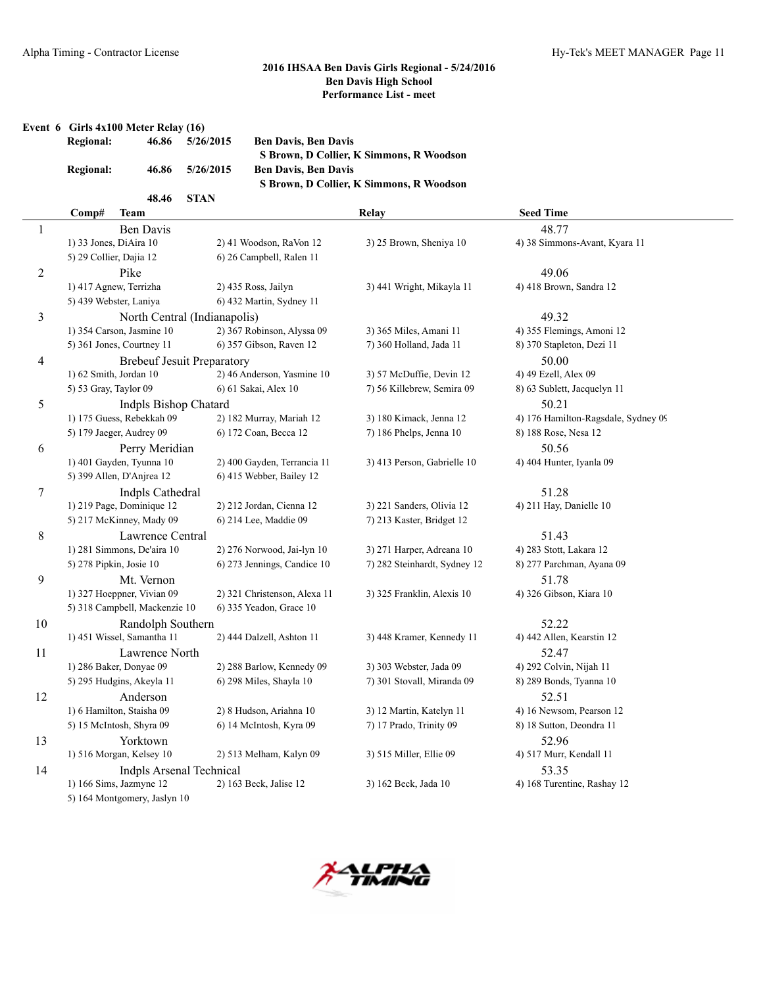**Event 6 Girls 4x100 Meter Relay (16)**

| <b>Regional:</b> | 46.86 | 5/26/2015   | <b>Ben Davis, Ben Davis</b>              |
|------------------|-------|-------------|------------------------------------------|
|                  |       |             | S Brown, D Collier, K Simmons, R Woodson |
| <b>Regional:</b> | 46.86 | 5/26/2015   | <b>Ben Davis, Ben Davis</b>              |
|                  |       |             | S Brown, D Collier, K Simmons, R Woodson |
|                  | 48.46 | <b>STAN</b> |                                          |

|                          | Comp#<br>Team                     |                              | Relay                        | <b>Seed Time</b>                    |
|--------------------------|-----------------------------------|------------------------------|------------------------------|-------------------------------------|
| 1                        | <b>Ben Davis</b>                  |                              |                              | 48.77                               |
|                          | 1) 33 Jones, DiAira 10            | 2) 41 Woodson, RaVon 12      | 3) 25 Brown, Sheniya 10      | 4) 38 Simmons-Avant, Kyara 11       |
|                          | 5) 29 Collier, Dajia 12           | 6) 26 Campbell, Ralen 11     |                              |                                     |
| 2                        | Pike                              |                              |                              | 49.06                               |
|                          | 1) 417 Agnew, Terrizha            | 2) 435 Ross, Jailyn          | 3) 441 Wright, Mikayla 11    | 4) 418 Brown, Sandra 12             |
|                          | 5) 439 Webster, Laniya            | 6) 432 Martin, Sydney 11     |                              |                                     |
| 3                        | North Central (Indianapolis)      |                              |                              | 49.32                               |
|                          | 1) 354 Carson, Jasmine 10         | 2) 367 Robinson, Alyssa 09   | 3) 365 Miles, Amani 11       | 4) 355 Flemings, Amoni 12           |
|                          | 5) 361 Jones, Courtney 11         | 6) 357 Gibson, Raven 12      | 7) 360 Holland, Jada 11      | 8) 370 Stapleton, Dezi 11           |
| $\overline{\mathcal{A}}$ | <b>Brebeuf Jesuit Preparatory</b> |                              |                              | 50.00                               |
|                          | 1) 62 Smith, Jordan 10            | 2) 46 Anderson, Yasmine 10   | 3) 57 McDuffie, Devin 12     | 4) 49 Ezell, Alex 09                |
|                          | 5) 53 Gray, Taylor 09             | 6) 61 Sakai, Alex 10         | 7) 56 Killebrew, Semira 09   | 8) 63 Sublett, Jacquelyn 11         |
| 5                        | <b>Indpls Bishop Chatard</b>      |                              |                              | 50.21                               |
|                          | 1) 175 Guess, Rebekkah 09         | 2) 182 Murray, Mariah 12     | 3) 180 Kimack, Jenna 12      | 4) 176 Hamilton-Ragsdale, Sydney 09 |
|                          | 5) 179 Jaeger, Audrey 09          | 6) 172 Coan, Becca 12        | 7) 186 Phelps, Jenna 10      | 8) 188 Rose, Nesa 12                |
| 6                        | Perry Meridian                    |                              |                              | 50.56                               |
|                          | 1) 401 Gayden, Tyunna 10          | 2) 400 Gayden, Terrancia 11  | 3) 413 Person, Gabrielle 10  | 4) 404 Hunter, Iyanla 09            |
|                          | 5) 399 Allen, D'Anjrea 12         | 6) 415 Webber, Bailey 12     |                              |                                     |
| $\tau$                   | Indpls Cathedral                  |                              |                              | 51.28                               |
|                          | 1) 219 Page, Dominique 12         | 2) 212 Jordan, Cienna 12     | 3) 221 Sanders, Olivia 12    | 4) 211 Hay, Danielle 10             |
|                          | 5) 217 McKinney, Mady 09          | 6) 214 Lee, Maddie 09        | 7) 213 Kaster, Bridget 12    |                                     |
| 8                        | Lawrence Central                  |                              |                              | 51.43                               |
|                          | 1) 281 Simmons, De'aira 10        | 2) 276 Norwood, Jai-lyn 10   | 3) 271 Harper, Adreana 10    | 4) 283 Stott, Lakara 12             |
|                          | 5) 278 Pipkin, Josie 10           | 6) 273 Jennings, Candice 10  | 7) 282 Steinhardt, Sydney 12 | 8) 277 Parchman, Ayana 09           |
| 9                        | Mt. Vernon                        |                              |                              | 51.78                               |
|                          | 1) 327 Hoeppner, Vivian 09        | 2) 321 Christenson, Alexa 11 | 3) 325 Franklin, Alexis 10   | 4) 326 Gibson, Kiara 10             |
|                          | 5) 318 Campbell, Mackenzie 10     | 6) 335 Yeadon, Grace 10      |                              |                                     |
| 10                       | Randolph Southern                 |                              |                              | 52.22                               |
|                          | 1) 451 Wissel, Samantha 11        | 2) 444 Dalzell, Ashton 11    | 3) 448 Kramer, Kennedy 11    | 4) 442 Allen, Kearstin 12           |
| 11                       | Lawrence North                    |                              |                              | 52.47                               |
|                          | 1) 286 Baker, Donyae 09           | 2) 288 Barlow, Kennedy 09    | 3) 303 Webster, Jada 09      | 4) 292 Colvin, Nijah 11             |
|                          | 5) 295 Hudgins, Akeyla 11         | 6) 298 Miles, Shayla 10      | 7) 301 Stovall, Miranda 09   | 8) 289 Bonds, Tyanna 10             |
| 12                       | Anderson                          |                              |                              | 52.51                               |
|                          | 1) 6 Hamilton, Staisha 09         | 2) 8 Hudson, Ariahna 10      | 3) 12 Martin, Katelyn 11     | 4) 16 Newsom, Pearson 12            |
|                          | 5) 15 McIntosh, Shyra 09          | 6) 14 McIntosh, Kyra 09      | 7) 17 Prado, Trinity 09      | 8) 18 Sutton, Deondra 11            |
| 13                       | Yorktown                          |                              |                              | 52.96                               |
|                          | 1) 516 Morgan, Kelsey 10          | 2) 513 Melham, Kalyn 09      | 3) 515 Miller, Ellie 09      | 4) 517 Murr, Kendall 11             |
| 14                       | <b>Indpls Arsenal Technical</b>   |                              |                              | 53.35                               |
|                          | 1) 166 Sims, Jazmyne 12           | 2) 163 Beck, Jalise 12       | 3) 162 Beck, Jada 10         | 4) 168 Turentine, Rashay 12         |
|                          | 5) 164 Montgomery, Jaslyn 10      |                              |                              |                                     |

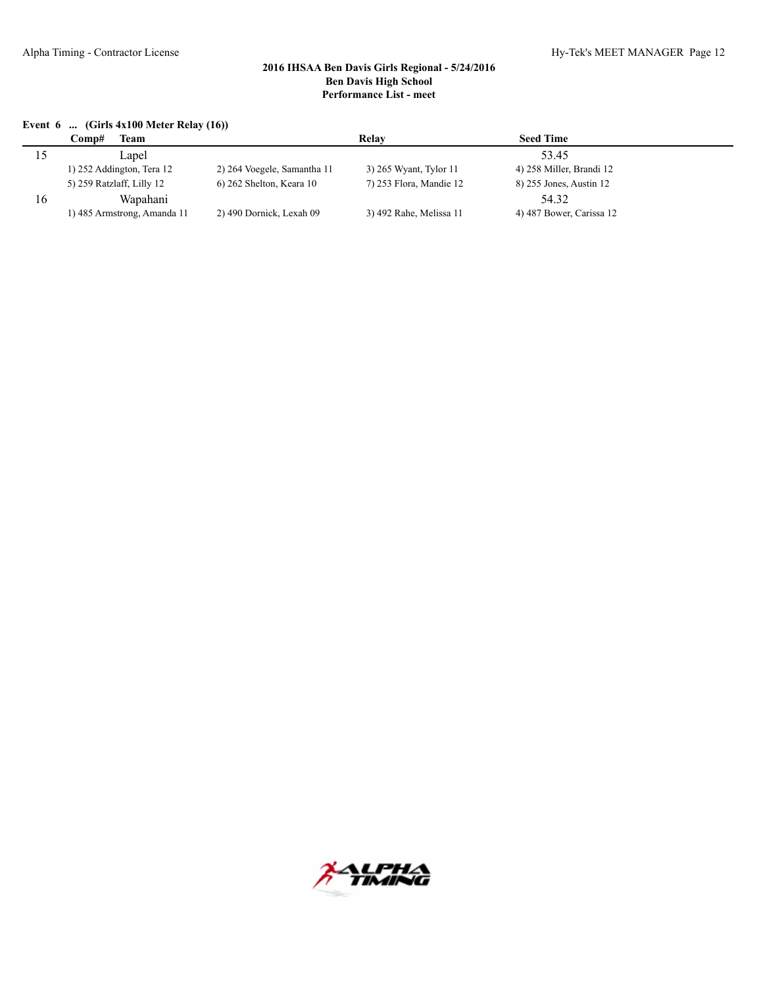#### **Event 6 ... (Girls 4x100 Meter Relay (16))**

|    | <b>Comp#</b><br><b>l`eam</b> |                             | Relay                   | <b>Seed Time</b>         |  |
|----|------------------------------|-----------------------------|-------------------------|--------------------------|--|
|    | Lapel                        |                             |                         | 53.45                    |  |
|    | $1)$ 252 Addington, Tera 12  | 2) 264 Voegele, Samantha 11 | 3) 265 Wyant, Tylor 11  | 4) 258 Miller, Brandi 12 |  |
|    | 5) 259 Ratzlaff, Lilly 12    | $6$ ) 262 Shelton, Keara 10 | 7) 253 Flora, Mandie 12 | 8) 255 Jones, Austin 12  |  |
| 16 | Wapahani                     |                             |                         | 54.32                    |  |
|    | 1) 485 Armstrong, Amanda 11  | 2) 490 Dornick, Lexah 09    | 3) 492 Rahe, Melissa 11 | 4) 487 Bower, Carissa 12 |  |

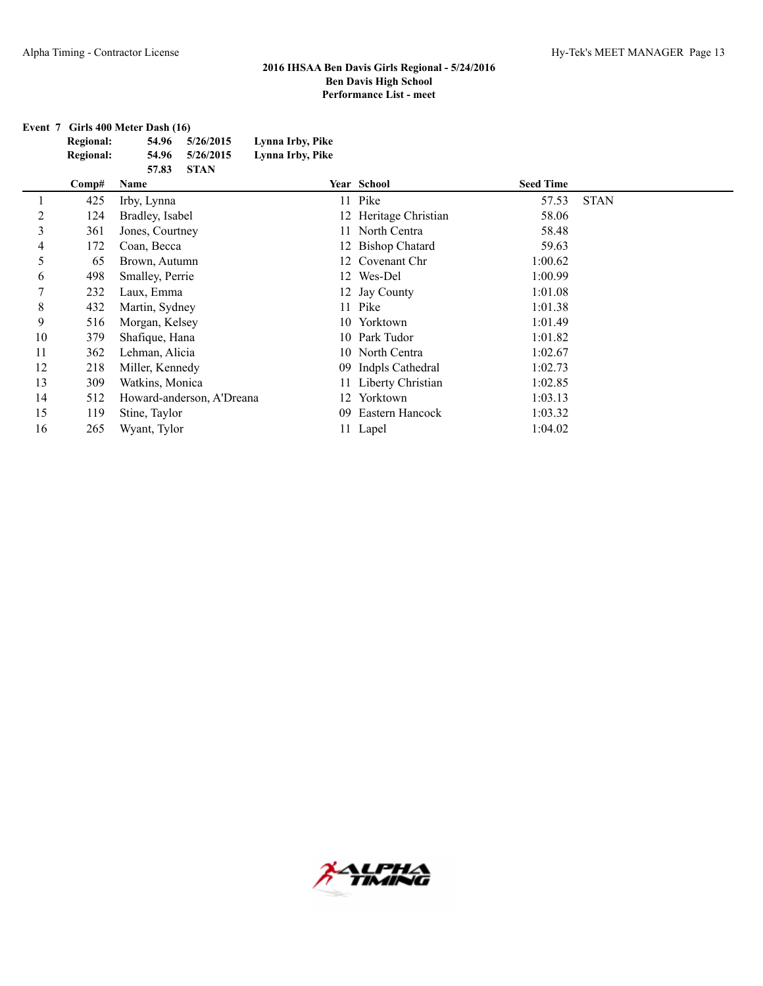**Event 7 Girls 400 Meter Dash (16)**

| <b>Regional:</b> | 54.96 | 5/26/2015 | Lynna Irby, Pike |
|------------------|-------|-----------|------------------|
| <b>Regional:</b> | 54.96 | 5/26/2015 | Lynna Irby, Pike |
|                  | 57.83 | -STAN     |                  |

|    | Comp# | Name                      |    | Year School           | <b>Seed Time</b> |             |
|----|-------|---------------------------|----|-----------------------|------------------|-------------|
|    | 425   | Irby, Lynna               |    | 11 Pike               | 57.53            | <b>STAN</b> |
| 2  | 124   | Bradley, Isabel           |    | 12 Heritage Christian | 58.06            |             |
| 3  | 361   | Jones, Courtney           |    | 11 North Centra       | 58.48            |             |
| 4  | 172   | Coan, Becca               |    | 12 Bishop Chatard     | 59.63            |             |
| 5  | 65    | Brown, Autumn             |    | 12 Covenant Chr       | 1:00.62          |             |
| 6  | 498   | Smalley, Perrie           |    | 12 Wes-Del            | 1:00.99          |             |
|    | 232   | Laux, Emma                |    | 12 Jay County         | 1:01.08          |             |
| 8  | 432   | Martin, Sydney            |    | 11 Pike               | 1:01.38          |             |
| 9  | 516   | Morgan, Kelsey            |    | 10 Yorktown           | 1:01.49          |             |
| 10 | 379   | Shafique, Hana            |    | 10 Park Tudor         | 1:01.82          |             |
| 11 | 362   | Lehman, Alicia            |    | 10 North Centra       | 1:02.67          |             |
| 12 | 218   | Miller, Kennedy           |    | 09 Indpls Cathedral   | 1:02.73          |             |
| 13 | 309   | Watkins, Monica           |    | 11 Liberty Christian  | 1:02.85          |             |
| 14 | 512   | Howard-anderson, A'Dreana |    | 12 Yorktown           | 1:03.13          |             |
| 15 | 119   | Stine, Taylor             | 09 | Eastern Hancock       | 1:03.32          |             |
| 16 | 265   | Wyant, Tylor              |    | 11 Lapel              | 1:04.02          |             |

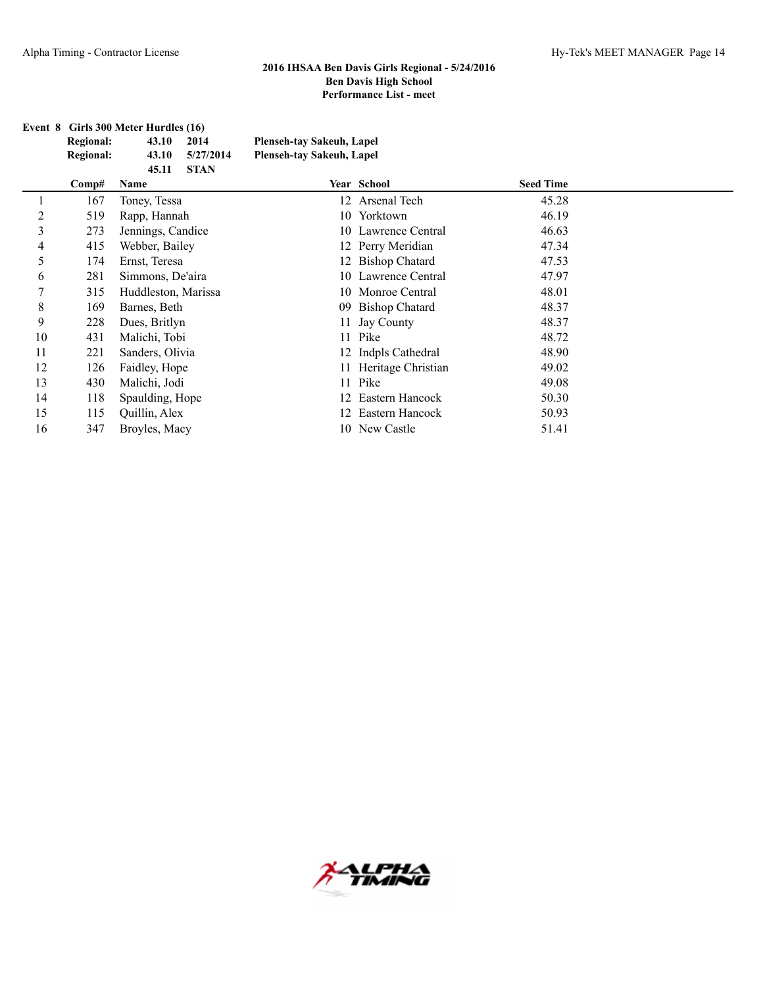| Event 8 Girls 300 Meter Hurdles (16) |       |             |                           |  |  |
|--------------------------------------|-------|-------------|---------------------------|--|--|
| <b>Regional:</b>                     | 43.10 | 2014        | Plenseh-tay Sakeuh, Lapel |  |  |
| <b>Regional:</b>                     | 43.10 | 5/27/2014   | Plenseh-tay Sakeuh, Lapel |  |  |
|                                      | 45.11 | <b>STAN</b> |                           |  |  |

|    | Comp# | Name                | Year School           | <b>Seed Time</b> |  |
|----|-------|---------------------|-----------------------|------------------|--|
|    | 167   | Toney, Tessa        | 12 Arsenal Tech       | 45.28            |  |
| 2  | 519   | Rapp, Hannah        | 10 Yorktown           | 46.19            |  |
| 3  | 273   | Jennings, Candice   | 10 Lawrence Central   | 46.63            |  |
| 4  | 415   | Webber, Bailey      | 12 Perry Meridian     | 47.34            |  |
| 5  | 174   | Ernst, Teresa       | 12 Bishop Chatard     | 47.53            |  |
| 6  | 281   | Simmons, De'aira    | 10 Lawrence Central   | 47.97            |  |
|    | 315   | Huddleston, Marissa | 10 Monroe Central     | 48.01            |  |
| 8  | 169   | Barnes, Beth        | 09 Bishop Chatard     | 48.37            |  |
| 9  | 228   | Dues, Britlyn       | 11 Jay County         | 48.37            |  |
| 10 | 431   | Malichi, Tobi       | 11 Pike               | 48.72            |  |
| 11 | 221   | Sanders, Olivia     | 12 Indpls Cathedral   | 48.90            |  |
| 12 | 126   | Faidley, Hope       | 11 Heritage Christian | 49.02            |  |
| 13 | 430   | Malichi, Jodi       | 11 Pike               | 49.08            |  |
| 14 | 118   | Spaulding, Hope     | 12 Eastern Hancock    | 50.30            |  |
| 15 | 115   | Quillin, Alex       | 12 Eastern Hancock    | 50.93            |  |
| 16 | 347   | Broyles, Macy       | 10 New Castle         | 51.41            |  |

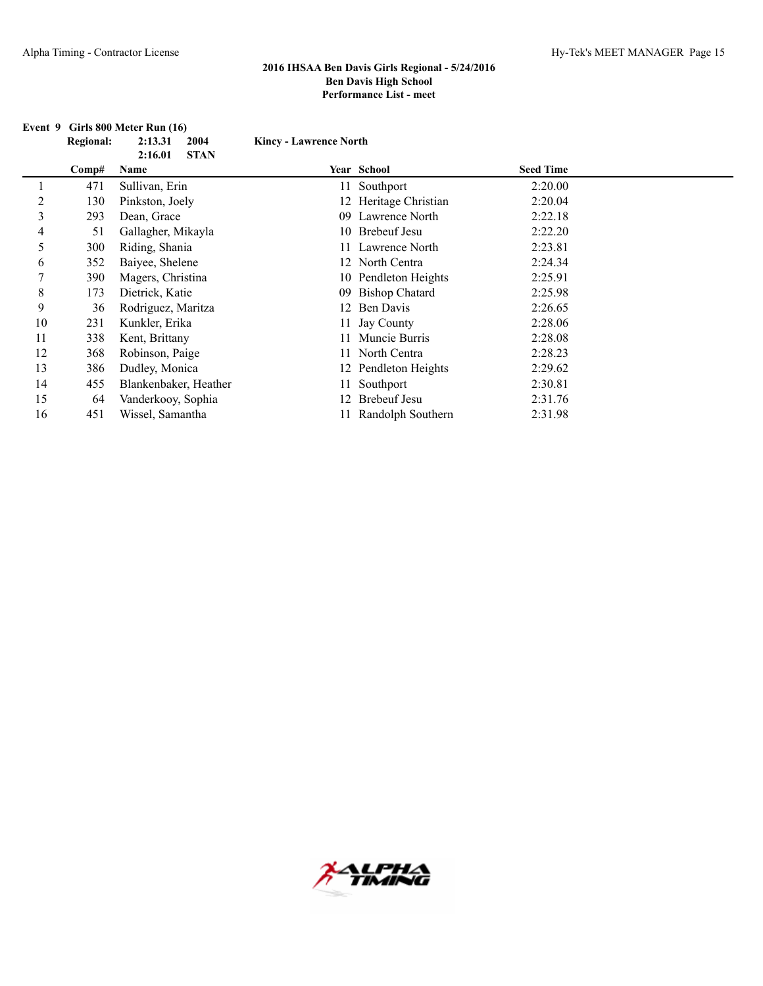|    | Regional: | 2004<br>2:13.31                | <b>Kincy - Lawrence North</b> |                       |                  |  |
|----|-----------|--------------------------------|-------------------------------|-----------------------|------------------|--|
|    | Comp#     | 2:16.01<br><b>STAN</b><br>Name |                               | Year School           | <b>Seed Time</b> |  |
|    | 471       | Sullivan, Erin                 |                               | Southport             | 2:20.00          |  |
| 2  | 130       | Pinkston, Joely                |                               | 12 Heritage Christian | 2:20.04          |  |
| 3  | 293       | Dean, Grace                    |                               | 09 Lawrence North     | 2:22.18          |  |
| 4  | 51        | Gallagher, Mikayla             |                               | 10 Brebeuf Jesu       | 2:22.20          |  |
| 5  | 300       | Riding, Shania                 |                               | 11 Lawrence North     | 2:23.81          |  |
| 6  | 352       | Baiyee, Shelene                |                               | 12 North Centra       | 2:24.34          |  |
| 7  | 390       | Magers, Christina              |                               | 10 Pendleton Heights  | 2:25.91          |  |
| 8  | 173       | Dietrick, Katie                | 09                            | <b>Bishop Chatard</b> | 2:25.98          |  |
| 9  | 36        | Rodriguez, Maritza             | 12                            | Ben Davis             | 2:26.65          |  |
| 10 | 231       | Kunkler, Erika                 |                               | 11 Jay County         | 2:28.06          |  |
| 11 | 338       | Kent, Brittany                 |                               | Muncie Burris         | 2:28.08          |  |
| 12 | 368       | Robinson, Paige                |                               | 11 North Centra       | 2:28.23          |  |
| 13 | 386       | Dudley, Monica                 |                               | 12 Pendleton Heights  | 2:29.62          |  |
| 14 | 455       | Blankenbaker, Heather          |                               | Southport             | 2:30.81          |  |
| 15 | 64        | Vanderkooy, Sophia             | 12.                           | <b>Brebeuf Jesu</b>   | 2:31.76          |  |
| 16 | 451       | Wissel, Samantha               |                               | Randolph Southern     | 2:31.98          |  |

### **Event 9 Girls 800 Meter Run (16)**

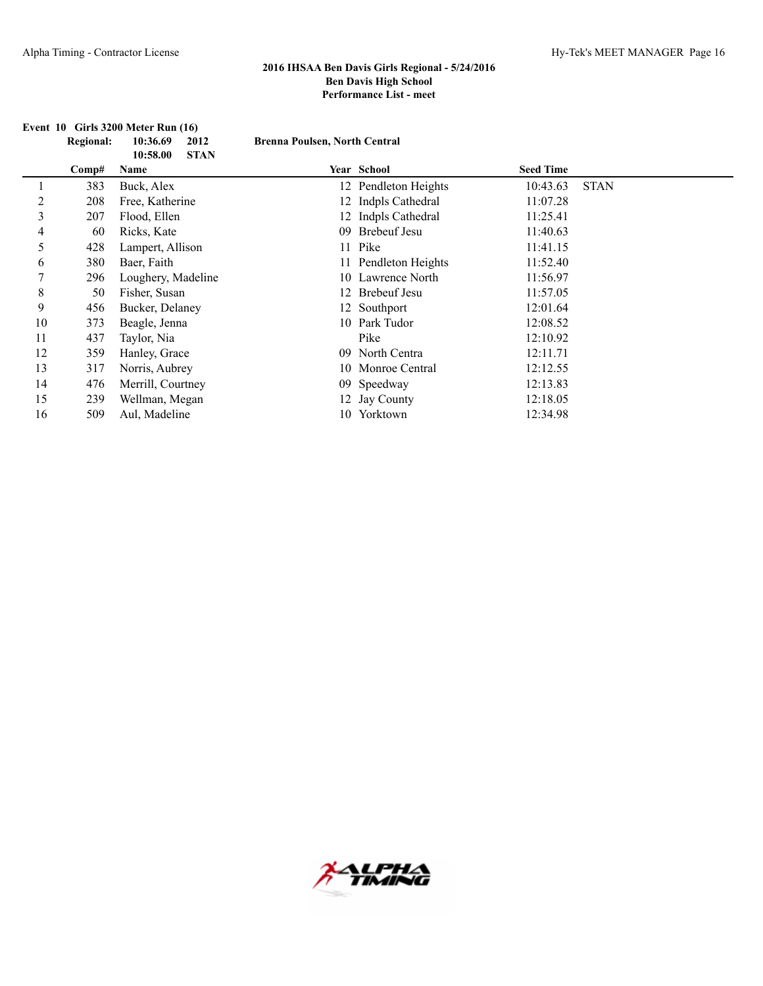|    | <b>Regional:</b> | 10:36.69<br>2012                | <b>Brenna Poulsen, North Central</b> |                      |                  |             |
|----|------------------|---------------------------------|--------------------------------------|----------------------|------------------|-------------|
|    | Comp#            | <b>STAN</b><br>10:58.00<br>Name |                                      | Year School          | <b>Seed Time</b> |             |
|    | 383              | Buck, Alex                      |                                      | 12 Pendleton Heights | 10:43.63         | <b>STAN</b> |
| 2  | 208              | Free, Katherine                 |                                      | 12 Indpls Cathedral  | 11:07.28         |             |
| 3  | 207              | Flood, Ellen                    |                                      | 12 Indpls Cathedral  | 11:25.41         |             |
| 4  | 60               | Ricks, Kate                     |                                      | 09 Brebeuf Jesu      | 11:40.63         |             |
| 5  | 428              | Lampert, Allison                |                                      | 11 Pike              | 11:41.15         |             |
| 6  | 380              | Baer, Faith                     |                                      | 11 Pendleton Heights | 11:52.40         |             |
| 7  | 296              | Loughery, Madeline              |                                      | 10 Lawrence North    | 11:56.97         |             |
| 8  | 50               | Fisher, Susan                   |                                      | 12 Brebeuf Jesu      | 11:57.05         |             |
| 9  | 456              | Bucker, Delaney                 |                                      | 12 Southport         | 12:01.64         |             |
| 10 | 373              | Beagle, Jenna                   |                                      | 10 Park Tudor        | 12:08.52         |             |
| 11 | 437              | Taylor, Nia                     |                                      | Pike                 | 12:10.92         |             |
| 12 | 359              | Hanley, Grace                   |                                      | 09 North Centra      | 12:11.71         |             |
| 13 | 317              | Norris, Aubrey                  |                                      | 10 Monroe Central    | 12:12.55         |             |
| 14 | 476              | Merrill, Courtney               |                                      | 09 Speedway          | 12:13.83         |             |
| 15 | 239              | Wellman, Megan                  |                                      | 12 Jay County        | 12:18.05         |             |
| 16 | 509              | Aul, Madeline                   |                                      | 10 Yorktown          | 12:34.98         |             |

## **Event 10 Girls 3200 Meter Run (16)**

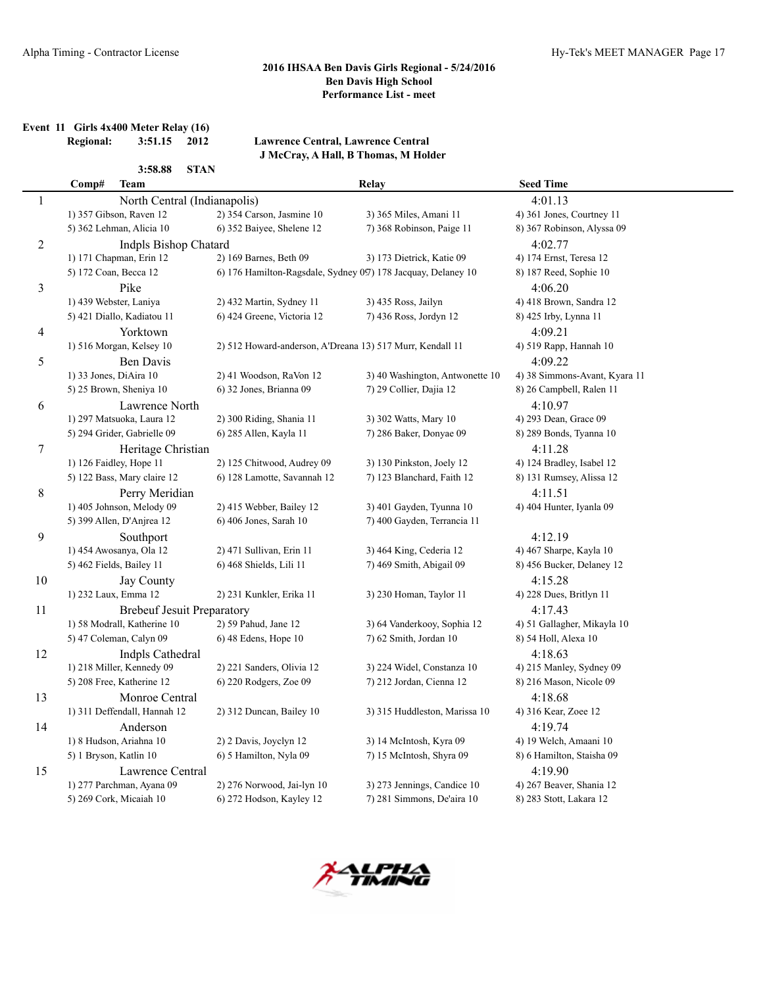**Event 11 Girls 4x400 Meter Relay (16)**

L,

**Regional: 3:51.15 2012 Lawrence Central, Lawrence Central J McCray, A Hall, B Thomas, M Holder**

|              | Comp#                                        | <b>Team</b>                                                                           |                                                               | Relay                           | <b>Seed Time</b>              |  |  |
|--------------|----------------------------------------------|---------------------------------------------------------------------------------------|---------------------------------------------------------------|---------------------------------|-------------------------------|--|--|
| $\mathbf{1}$ | 4:01.13<br>North Central (Indianapolis)      |                                                                                       |                                                               |                                 |                               |  |  |
|              |                                              | 1) 357 Gibson, Raven 12                                                               | 2) 354 Carson, Jasmine 10                                     | 3) 365 Miles, Amani 11          | 4) 361 Jones, Courtney 11     |  |  |
|              |                                              | 5) 362 Lehman, Alicia 10                                                              | 6) 352 Baiyee, Shelene 12                                     | 7) 368 Robinson, Paige 11       | 8) 367 Robinson, Alyssa 09    |  |  |
| 2            |                                              | Indpls Bishop Chatard                                                                 |                                                               |                                 | 4:02.77                       |  |  |
|              |                                              | 1) 171 Chapman, Erin 12                                                               | 2) 169 Barnes, Beth 09<br>3) 173 Dietrick, Katie 09           |                                 | 4) 174 Ernst, Teresa 12       |  |  |
|              | 5) 172 Coan, Becca 12                        |                                                                                       | 6) 176 Hamilton-Ragsdale, Sydney 097) 178 Jacquay, Delaney 10 |                                 | 8) 187 Reed, Sophie 10        |  |  |
| 3            |                                              | Pike                                                                                  |                                                               |                                 | 4:06.20                       |  |  |
|              | 1) 439 Webster, Laniya                       |                                                                                       | 2) 432 Martin, Sydney 11                                      | 3) 435 Ross, Jailyn             | 4) 418 Brown, Sandra 12       |  |  |
|              |                                              | 5) 421 Diallo, Kadiatou 11                                                            | 6) 424 Greene, Victoria 12                                    | 7) 436 Ross, Jordyn 12          | 8) 425 Irby, Lynna 11         |  |  |
| 4            |                                              | Yorktown                                                                              |                                                               |                                 | 4:09.21                       |  |  |
|              |                                              | 1) 516 Morgan, Kelsey 10<br>2) 512 Howard-anderson, A'Dreana 13) 517 Murr, Kendall 11 |                                                               |                                 | 4) 519 Rapp, Hannah 10        |  |  |
| 5            |                                              | Ben Davis                                                                             |                                                               |                                 | 4:09.22                       |  |  |
|              | 1) 33 Jones, DiAira 10                       |                                                                                       | 2) 41 Woodson, RaVon 12                                       | 3) 40 Washington, Antwonette 10 | 4) 38 Simmons-Avant, Kyara 11 |  |  |
|              |                                              | 5) 25 Brown, Sheniya 10                                                               | 6) 32 Jones, Brianna 09                                       | 7) 29 Collier, Dajia 12         | 8) 26 Campbell, Ralen 11      |  |  |
| 6            |                                              | Lawrence North                                                                        |                                                               |                                 | 4:10.97                       |  |  |
|              |                                              | 1) 297 Matsuoka, Laura 12                                                             | 2) 300 Riding, Shania 11                                      | 3) 302 Watts, Mary 10           | 4) 293 Dean, Grace 09         |  |  |
|              |                                              | 5) 294 Grider, Gabrielle 09                                                           | 6) 285 Allen, Kayla 11                                        | 7) 286 Baker, Donyae 09         | 8) 289 Bonds, Tyanna 10       |  |  |
| 7            |                                              | Heritage Christian                                                                    |                                                               |                                 | 4:11.28                       |  |  |
|              |                                              | 1) 126 Faidley, Hope 11                                                               | 2) 125 Chitwood, Audrey 09                                    | 3) 130 Pinkston, Joely 12       | 4) 124 Bradley, Isabel 12     |  |  |
|              |                                              | 5) 122 Bass, Mary claire 12                                                           | 6) 128 Lamotte, Savannah 12                                   | 7) 123 Blanchard, Faith 12      | 8) 131 Rumsey, Alissa 12      |  |  |
| 8            |                                              | Perry Meridian                                                                        |                                                               |                                 | 4:11.51                       |  |  |
|              |                                              | 1) 405 Johnson, Melody 09                                                             | 2) 415 Webber, Bailey 12                                      | 3) 401 Gayden, Tyunna 10        | 4) 404 Hunter, Iyanla 09      |  |  |
|              |                                              | 5) 399 Allen, D'Anjrea 12                                                             | 6) 406 Jones, Sarah 10                                        | 7) 400 Gayden, Terrancia 11     |                               |  |  |
| 9            |                                              | Southport                                                                             |                                                               |                                 | 4:12.19                       |  |  |
|              |                                              | 1) 454 Awosanya, Ola 12                                                               | 2) 471 Sullivan, Erin 11                                      | 3) 464 King, Cederia 12         | 4) 467 Sharpe, Kayla 10       |  |  |
|              |                                              | 5) 462 Fields, Bailey 11                                                              | 6) 468 Shields, Lili 11                                       | 7) 469 Smith, Abigail 09        | 8) 456 Bucker, Delaney 12     |  |  |
| 10           |                                              | Jay County                                                                            |                                                               |                                 | 4:15.28                       |  |  |
|              | 1) 232 Laux, Emma 12                         |                                                                                       | 2) 231 Kunkler, Erika 11                                      | 3) 230 Homan, Taylor 11         | 4) 228 Dues, Britlyn 11       |  |  |
| 11           | <b>Brebeuf Jesuit Preparatory</b><br>4:17.43 |                                                                                       |                                                               |                                 |                               |  |  |
|              |                                              | 1) 58 Modrall, Katherine 10                                                           | 2) 59 Pahud, Jane 12                                          | 3) 64 Vanderkooy, Sophia 12     | 4) 51 Gallagher, Mikayla 10   |  |  |
|              |                                              | 5) 47 Coleman, Calyn 09                                                               | 6) 48 Edens, Hope 10                                          | 7) 62 Smith, Jordan 10          | 8) 54 Holl, Alexa 10          |  |  |
| 12           |                                              | Indpls Cathedral                                                                      |                                                               |                                 | 4:18.63                       |  |  |
|              |                                              | 1) 218 Miller, Kennedy 09                                                             | 2) 221 Sanders, Olivia 12                                     | 3) 224 Widel, Constanza 10      | 4) 215 Manley, Sydney 09      |  |  |
|              |                                              | 5) 208 Free, Katherine 12                                                             | 6) 220 Rodgers, Zoe 09                                        | 7) 212 Jordan, Cienna 12        | 8) 216 Mason, Nicole 09       |  |  |
| 13           |                                              | Monroe Central                                                                        |                                                               |                                 | 4:18.68                       |  |  |
|              |                                              | 1) 311 Deffendall, Hannah 12                                                          | 2) 312 Duncan, Bailey 10                                      | 3) 315 Huddleston, Marissa 10   | 4) 316 Kear, Zoee 12          |  |  |
| 14           |                                              | Anderson                                                                              |                                                               |                                 | 4:19.74                       |  |  |
|              |                                              | 1) 8 Hudson, Ariahna 10                                                               | 2) 2 Davis, Joyclyn 12                                        | 3) 14 McIntosh, Kyra 09         | 4) 19 Welch, Amaani 10        |  |  |
|              | 5) 1 Bryson, Katlin 10                       |                                                                                       | 6) 5 Hamilton, Nyla 09                                        | 7) 15 McIntosh, Shyra 09        | 8) 6 Hamilton, Staisha 09     |  |  |
| 15           |                                              | Lawrence Central                                                                      |                                                               |                                 | 4:19.90                       |  |  |
|              |                                              | 1) 277 Parchman, Ayana 09                                                             | 2) 276 Norwood, Jai-lyn 10                                    | 3) 273 Jennings, Candice 10     | 4) 267 Beaver, Shania 12      |  |  |
|              |                                              | 5) 269 Cork, Micaiah 10                                                               | 6) 272 Hodson, Kayley 12                                      | 7) 281 Simmons, De'aira 10      | 8) 283 Stott, Lakara 12       |  |  |

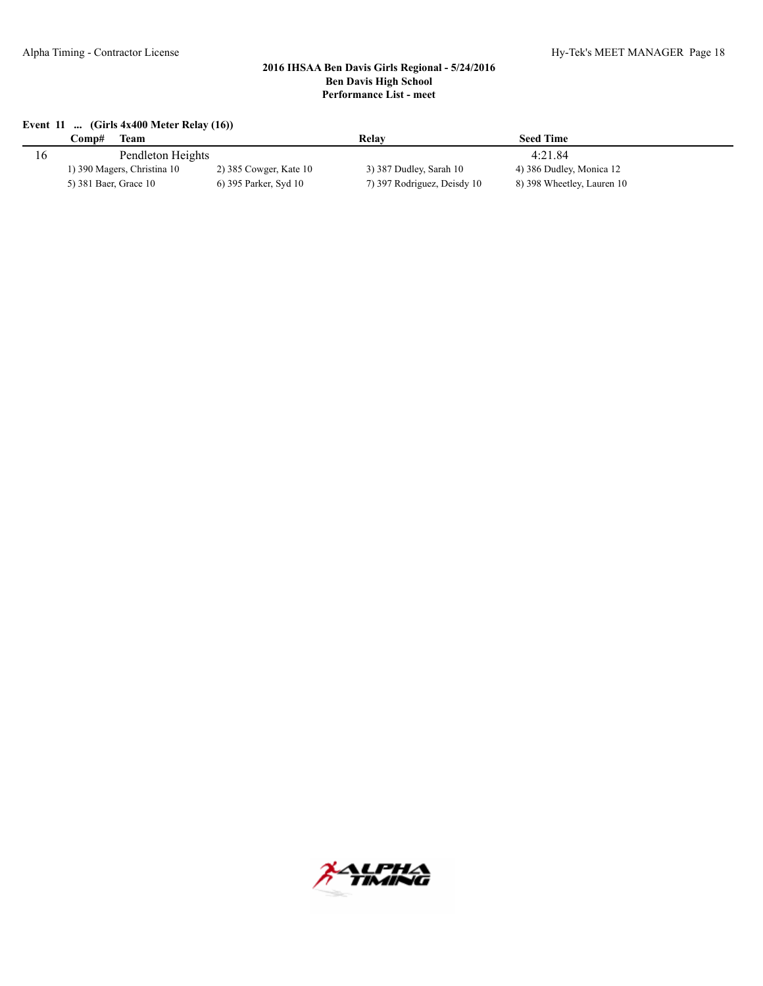#### **Event 11 ... (Girls 4x400 Meter Relay (16))**

|     | Team<br>∑omp#               |                        | Relav                       | <b>Seed Time</b>           |  |
|-----|-----------------------------|------------------------|-----------------------------|----------------------------|--|
| l b | Pendleton Heights           |                        | 4:21.84                     |                            |  |
|     | 1) 390 Magers, Christina 10 | 2) 385 Cowger, Kate 10 | 3) 387 Dudley, Sarah 10     | 4) 386 Dudley, Monica 12   |  |
|     | 5) 381 Baer, Grace 10       | 6) 395 Parker, Syd 10  | 7) 397 Rodriguez, Deisdy 10 | 8) 398 Wheetley, Lauren 10 |  |